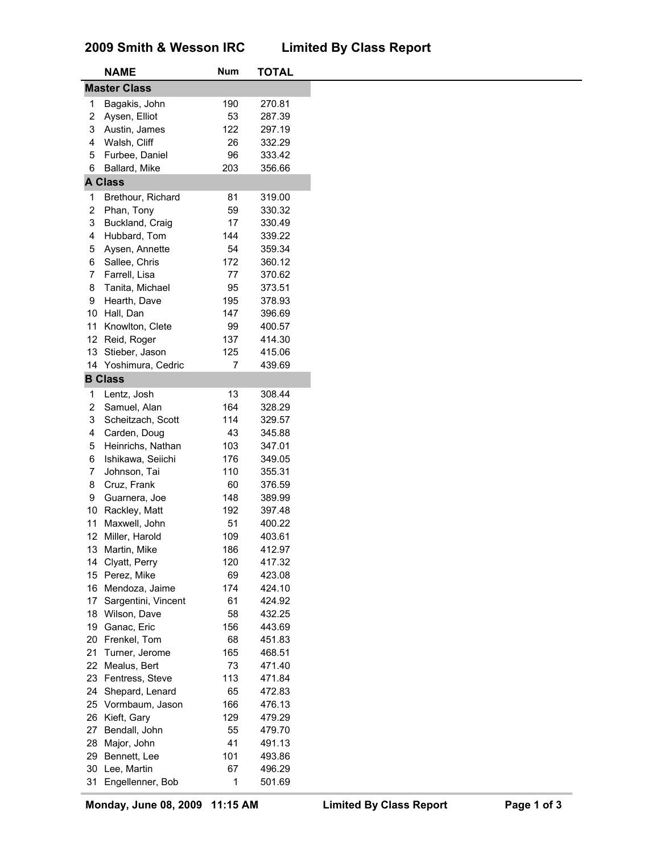# **2009 Smith & Wesson IRC Limited By Class Report**

|                     | <b>NAME</b>          | Num | <b>TOTAL</b> |
|---------------------|----------------------|-----|--------------|
| <b>Master Class</b> |                      |     |              |
| 1                   | Bagakis, John        | 190 | 270.81       |
| 2                   | Aysen, Elliot        | 53  | 287.39       |
| 3                   | Austin, James        | 122 | 297.19       |
| 4                   | Walsh, Cliff         | 26  | 332.29       |
| 5                   |                      |     |              |
|                     | Furbee, Daniel       | 96  | 333.42       |
| 6                   | Ballard, Mike        | 203 | 356.66       |
|                     | <b>A Class</b>       |     |              |
| 1                   | Brethour, Richard    | 81  | 319.00       |
| 2                   | Phan, Tony           | 59  | 330.32       |
| 3                   | Buckland, Craig      | 17  | 330.49       |
| 4                   | Hubbard, Tom         | 144 | 339.22       |
| 5                   | Aysen, Annette       | 54  | 359.34       |
| 6                   | Sallee, Chris        | 172 | 360.12       |
| 7                   | Farrell, Lisa        | 77  | 370.62       |
| 8                   | Tanita, Michael      | 95  | 373.51       |
| 9                   | Hearth, Dave         | 195 | 378.93       |
| 10                  | Hall, Dan            | 147 | 396.69       |
| 11                  | Knowlton, Clete      | 99  | 400.57       |
| 12 <sup>°</sup>     | Reid, Roger          | 137 | 414.30       |
| 13                  | Stieber, Jason       | 125 | 415.06       |
|                     | 14 Yoshimura, Cedric | 7   | 439.69       |
|                     | <b>B</b> Class       |     |              |
|                     |                      |     |              |
| 1                   | Lentz, Josh          | 13  | 308.44       |
| 2                   | Samuel, Alan         | 164 | 328.29       |
| 3                   | Scheitzach, Scott    | 114 | 329.57       |
| 4                   | Carden, Doug         | 43  | 345.88       |
| 5                   | Heinrichs, Nathan    | 103 | 347.01       |
| 6                   | Ishikawa, Seiichi    | 176 | 349.05       |
| 7                   | Johnson, Tai         | 110 | 355.31       |
| 8                   | Cruz, Frank          | 60  | 376.59       |
| 9                   | Guarnera, Joe        | 148 | 389.99       |
| 10                  | Rackley, Matt        | 192 | 397.48       |
| 11                  | Maxwell, John        | 51  | 400.22       |
|                     | 12 Miller, Harold    | 109 | 403.61       |
|                     | 13 Martin, Mike      | 186 | 412.97       |
| 14                  | Clyatt, Perry        | 120 | 417.32       |
|                     | 15 Perez, Mike       | 69  | 423.08       |
| 16                  | Mendoza, Jaime       | 174 | 424.10       |
| 17                  | Sargentini, Vincent  | 61  | 424.92       |
| 18                  | Wilson, Dave         | 58  | 432.25       |
| 19                  | Ganac, Eric          | 156 | 443.69       |
| 20                  | Frenkel, Tom         | 68  | 451.83       |
| 21                  | Turner, Jerome       | 165 | 468.51       |
| 22                  | Mealus, Bert         | 73  | 471.40       |
| 23                  | Fentress, Steve      | 113 | 471.84       |
|                     |                      | 65  |              |
| 24                  | Shepard, Lenard      |     | 472.83       |
| 25                  | Vormbaum, Jason      | 166 | 476.13       |
| 26                  | Kieft, Gary          | 129 | 479.29       |
| 27                  | Bendall, John        | 55  | 479.70       |
| 28                  | Major, John          | 41  | 491.13       |
| 29                  | Bennett, Lee         | 101 | 493.86       |
| 30                  | Lee, Martin          | 67  | 496.29       |
| 31                  | Engellenner, Bob     | 1   | 501.69       |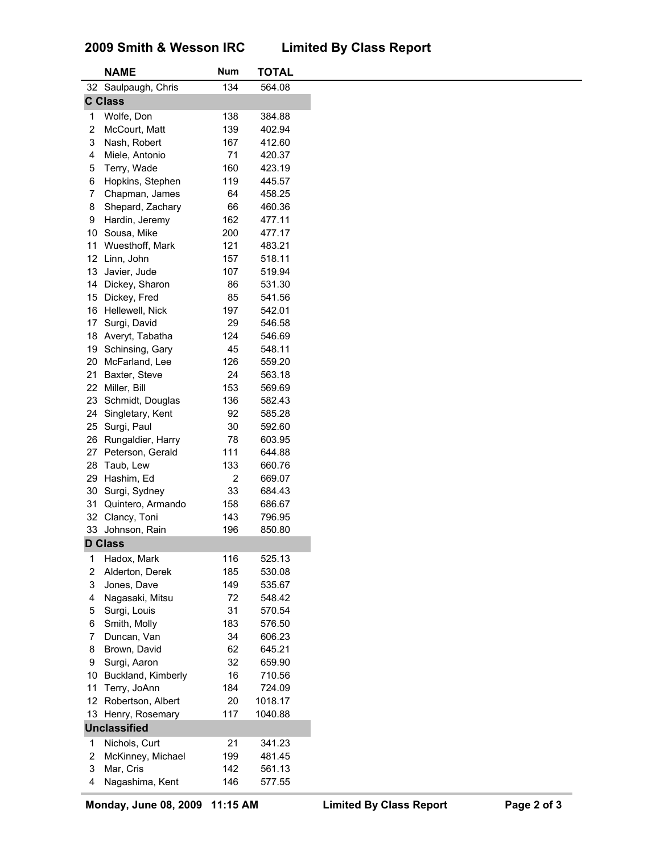### **2009 Smith & Wesson IRC Limited By Class Report**

|                 | <b>NAME</b>         | <b>Num</b> | <b>TOTAL</b> |
|-----------------|---------------------|------------|--------------|
|                 | 32 Saulpaugh, Chris | 134        | 564.08       |
|                 | <b>C Class</b>      |            |              |
| 1               | Wolfe, Don          | 138        | 384.88       |
| 2               | McCourt, Matt       | 139        | 402.94       |
| 3               | Nash, Robert        | 167        | 412.60       |
| 4               | Miele, Antonio      | 71         | 420.37       |
| 5               | Terry, Wade         | 160        | 423.19       |
| 6               | Hopkins, Stephen    | 119        | 445.57       |
| 7               | Chapman, James      | 64         | 458.25       |
| 8               | Shepard, Zachary    | 66         | 460.36       |
|                 |                     |            |              |
| 9               | Hardin, Jeremy      | 162        | 477.11       |
| 10              | Sousa, Mike         | 200        | 477.17       |
| 11              | Wuesthoff, Mark     | 121        | 483.21       |
| 12 <sup>°</sup> | Linn, John          | 157        | 518.11       |
| 13              | Javier, Jude        | 107        | 519.94       |
| 14              | Dickey, Sharon      | 86         | 531.30       |
| 15              | Dickey, Fred        | 85         | 541.56       |
| 16              | Hellewell, Nick     | 197        | 542.01       |
| 17              | Surgi, David        | 29         | 546.58       |
| 18              | Averyt, Tabatha     | 124        | 546.69       |
| 19              | Schinsing, Gary     | 45         | 548.11       |
| 20              | McFarland, Lee      | 126        | 559.20       |
| 21              | Baxter, Steve       | 24         | 563.18       |
| 22              | Miller, Bill        | 153        | 569.69       |
| 23              | Schmidt, Douglas    | 136        | 582.43       |
| 24              | Singletary, Kent    | 92         | 585.28       |
| 25              | Surgi, Paul         | 30         | 592.60       |
| 26              | Rungaldier, Harry   | 78         | 603.95       |
| 27              | Peterson, Gerald    | 111        | 644.88       |
| 28              | Taub, Lew           | 133        | 660.76       |
| 29              | Hashim, Ed          | 2          | 669.07       |
| 30              | Surgi, Sydney       | 33         | 684.43       |
| 31              | Quintero, Armando   | 158        | 686.67       |
|                 |                     |            |              |
|                 | 32 Clancy, Toni     | 143        | 796.95       |
|                 | 33 Johnson, Rain    | 196        | 850.80       |
|                 | <b>D Class</b>      |            |              |
| 1               | Hadox, Mark         | 116        | 525.13       |
| 2               | Alderton, Derek     | 185        | 530.08       |
| 3               | Jones, Dave         | 149        | 535.67       |
| 4               | Nagasaki, Mitsu     | 72         | 548.42       |
| 5               | Surgi, Louis        | 31         | 570.54       |
| 6               | Smith, Molly        | 183        | 576.50       |
| 7               | Duncan, Van         | 34         | 606.23       |
| 8               | Brown, David        | 62         | 645.21       |
| 9               | Surgi, Aaron        | 32         | 659.90       |
| 10              | Buckland, Kimberly  | 16         | 710.56       |
| 11              | Terry, JoAnn        | 184        | 724.09       |
| 12 <sup>°</sup> | Robertson, Albert   | 20         | 1018.17      |
|                 | 13 Henry, Rosemary  | 117        | 1040.88      |
|                 | <b>Unclassified</b> |            |              |
|                 |                     |            |              |
| 1               | Nichols, Curt       | 21         | 341.23       |
| 2               | McKinney, Michael   | 199        | 481.45       |
| 3               | Mar, Cris           | 142        | 561.13       |
| 4               | Nagashima, Kent     | 146        | 577.55       |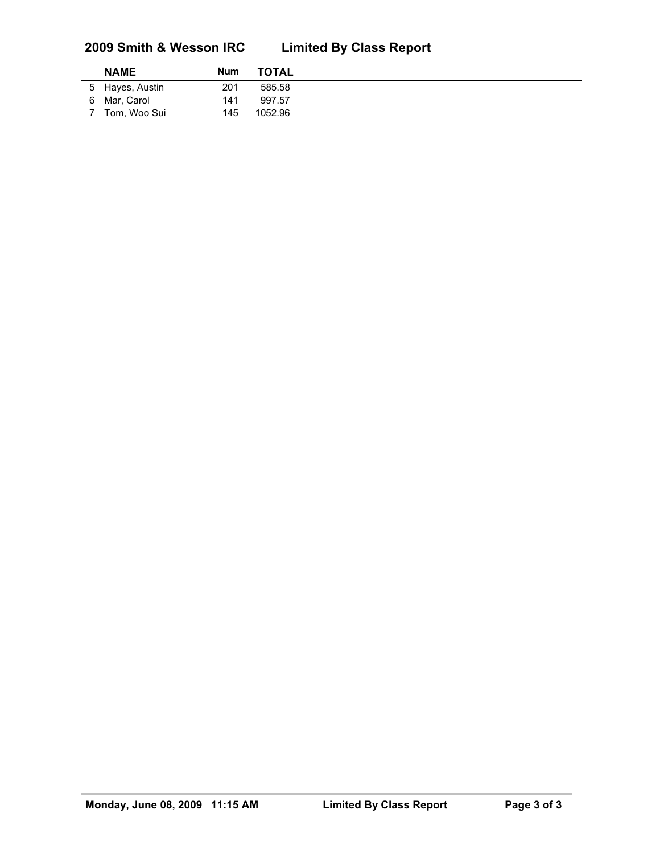# **2009 Smith & Wesson IRC Limited By Class Report**

| <b>NAME</b>     | Num | <b>TOTAL</b> |
|-----------------|-----|--------------|
| 5 Hayes, Austin | 201 | 585.58       |
| 6 Mar, Carol    | 141 | 997.57       |
| 7 Tom, Woo Sui  | 145 | 1052.96      |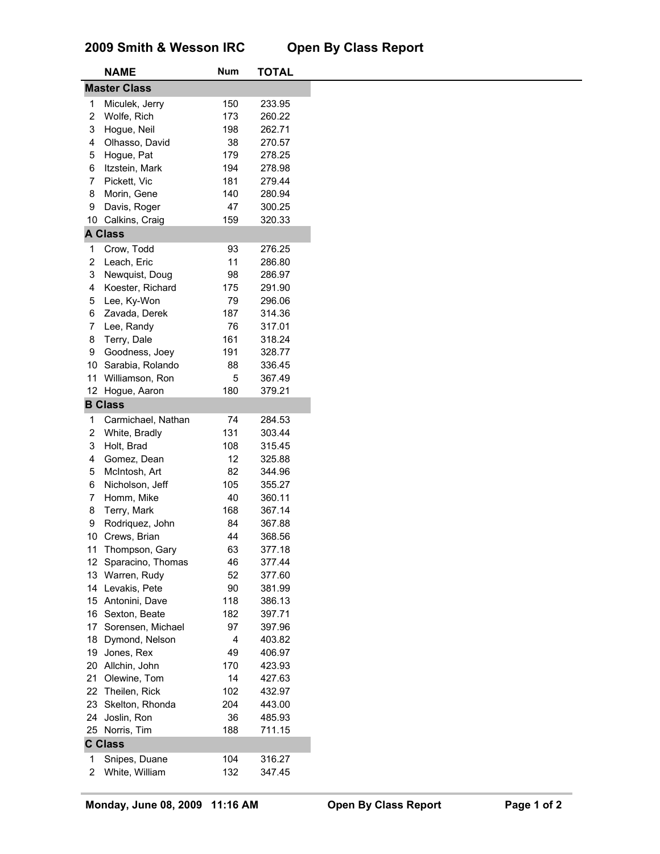# **2009 Smith & Wesson IRC Open By Class Report**

|                     | <b>NAME</b>        | <b>Num</b> | <b>TOTAL</b> |
|---------------------|--------------------|------------|--------------|
| <b>Master Class</b> |                    |            |              |
| 1                   | Miculek, Jerry     | 150        | 233.95       |
| $\boldsymbol{2}$    | Wolfe, Rich        | 173        | 260.22       |
| 3                   | Hogue, Neil        | 198        | 262.71       |
| 4                   | Olhasso, David     | 38         | 270.57       |
| 5                   | Hogue, Pat         | 179        | 278.25       |
| 6                   | Itzstein, Mark     | 194        | 278.98       |
| 7                   | Pickett, Vic       | 181        | 279.44       |
| 8                   | Morin, Gene        | 140        | 280.94       |
|                     |                    |            |              |
| 9                   | Davis, Roger       | 47         | 300.25       |
| 10                  | Calkins, Craig     | 159        | 320.33       |
|                     | <b>A Class</b>     |            |              |
| 1                   | Crow, Todd         | 93         | 276.25       |
| $\overline{2}$      | Leach, Eric        | 11         | 286.80       |
| 3                   | Newquist, Doug     | 98         | 286.97       |
| 4                   | Koester, Richard   | 175        | 291.90       |
| 5                   | Lee, Ky-Won        | 79         | 296.06       |
| 6                   | Zavada, Derek      | 187        | 314.36       |
| 7                   | Lee, Randy         | 76         | 317.01       |
| 8                   | Terry, Dale        | 161        | 318.24       |
| 9                   | Goodness, Joey     | 191        | 328.77       |
| 10                  | Sarabia, Rolando   | 88         | 336.45       |
| 11                  | Williamson, Ron    | 5          | 367.49       |
|                     | 12 Hogue, Aaron    | 180        | 379.21       |
|                     | <b>B Class</b>     |            |              |
|                     |                    |            |              |
| 1                   | Carmichael, Nathan | 74         | 284.53       |
| 2                   | White, Bradly      | 131        | 303.44       |
| 3                   | Holt, Brad         | 108        | 315.45       |
| 4                   | Gomez, Dean        | 12         | 325.88       |
| 5                   | McIntosh, Art      | 82         | 344.96       |
| 6                   | Nicholson, Jeff    | 105        | 355.27       |
| 7                   | Homm, Mike         | 40         | 360.11       |
| 8                   | Terry, Mark        | 168        | 367.14       |
| 9                   | Rodriquez, John    | 84         | 367.88       |
| 10                  | Crews, Brian       | 44         | 368.56       |
| 11                  | Thompson, Gary     | 63         | 377.18       |
| 12                  | Sparacino, Thomas  | 46         | 377.44       |
|                     | 13 Warren, Rudy    | 52         | 377.60       |
| 14                  | Levakis, Pete      | 90         | 381.99       |
| 15                  | Antonini, Dave     | 118        | 386.13       |
| 16                  | Sexton, Beate      | 182        | 397.71       |
| 17                  | Sorensen, Michael  | 97         | 397.96       |
| 18                  | Dymond, Nelson     | 4          | 403.82       |
| 19                  | Jones, Rex         | 49         | 406.97       |
| 20                  | Allchin, John      | 170        | 423.93       |
| 21                  | Olewine, Tom       | 14         | 427.63       |
| 22                  | Theilen, Rick      | 102        | 432.97       |
| 23                  | Skelton, Rhonda    | 204        | 443.00       |
| 24                  | Joslin, Ron        | 36         | 485.93       |
|                     |                    | 188        | 711.15       |
|                     | 25 Norris, Tim     |            |              |
|                     | <b>C Class</b>     |            |              |
| 1                   | Snipes, Duane      | 104        | 316.27       |
| 2                   | White, William     | 132        | 347.45       |